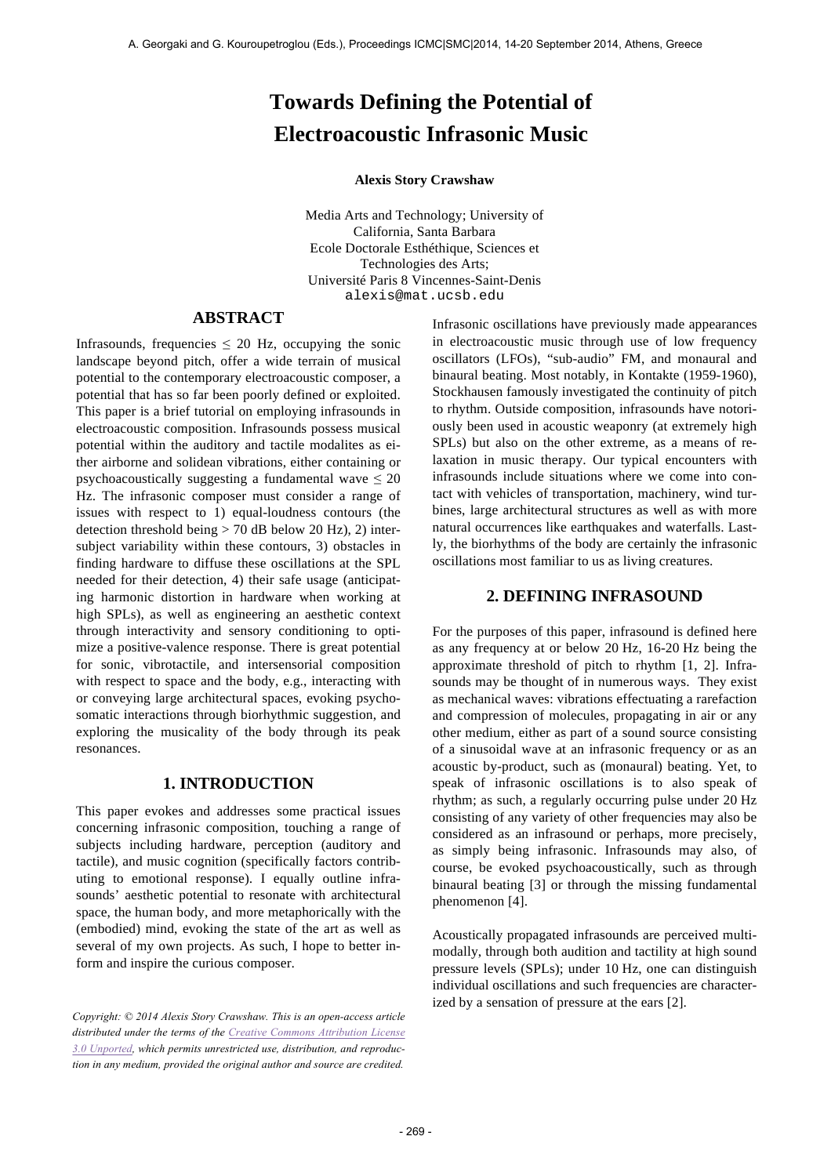# **Towards Defining the Potential of Electroacoustic Infrasonic Music**

#### **Alexis Story Crawshaw**

Media Arts and Technology; University of California, Santa Barbara Ecole Doctorale Esthéthique, Sciences et Technologies des Arts; Université Paris 8 Vincennes-Saint-Denis alexis@mat.ucsb.edu

# **ABSTRACT**

Infrasounds, frequencies  $\leq 20$  Hz, occupying the sonic landscape beyond pitch, offer a wide terrain of musical potential to the contemporary electroacoustic composer, a potential that has so far been poorly defined or exploited. This paper is a brief tutorial on employing infrasounds in electroacoustic composition. Infrasounds possess musical potential within the auditory and tactile modalites as either airborne and solidean vibrations, either containing or psychoacoustically suggesting a fundamental wave  $\leq 20$ Hz. The infrasonic composer must consider a range of issues with respect to 1) equal-loudness contours (the detection threshold being  $> 70$  dB below 20 Hz), 2) intersubject variability within these contours, 3) obstacles in finding hardware to diffuse these oscillations at the SPL needed for their detection, 4) their safe usage (anticipating harmonic distortion in hardware when working at high SPLs), as well as engineering an aesthetic context through interactivity and sensory conditioning to optimize a positive-valence response. There is great potential for sonic, vibrotactile, and intersensorial composition with respect to space and the body, e.g., interacting with or conveying large architectural spaces, evoking psychosomatic interactions through biorhythmic suggestion, and exploring the musicality of the body through its peak resonances.

## **1. INTRODUCTION**

This paper evokes and addresses some practical issues concerning infrasonic composition, touching a range of subjects including hardware, perception (auditory and tactile), and music cognition (specifically factors contributing to emotional response). I equally outline infrasounds' aesthetic potential to resonate with architectural space, the human body, and more metaphorically with the (embodied) mind, evoking the state of the art as well as several of my own projects. As such, I hope to better inform and inspire the curious composer.

*Copyright: © 2014 Alexis Story Crawshaw. This is an open-access article distributed under the terms of the Creative Commons Attribution License 3.0 Unported, which permits unrestricted use, distribution, and reproduction in any medium, provided the original author and source are credited.*

Infrasonic oscillations have previously made appearances in electroacoustic music through use of low frequency oscillators (LFOs), "sub-audio" FM, and monaural and binaural beating. Most notably, in Kontakte (1959-1960), Stockhausen famously investigated the continuity of pitch to rhythm. Outside composition, infrasounds have notoriously been used in acoustic weaponry (at extremely high SPLs) but also on the other extreme, as a means of relaxation in music therapy. Our typical encounters with infrasounds include situations where we come into contact with vehicles of transportation, machinery, wind turbines, large architectural structures as well as with more natural occurrences like earthquakes and waterfalls. Lastly, the biorhythms of the body are certainly the infrasonic oscillations most familiar to us as living creatures.

# **2. DEFINING INFRASOUND**

For the purposes of this paper, infrasound is defined here as any frequency at or below 20 Hz, 16-20 Hz being the approximate threshold of pitch to rhythm [1, 2]. Infrasounds may be thought of in numerous ways. They exist as mechanical waves: vibrations effectuating a rarefaction and compression of molecules, propagating in air or any other medium, either as part of a sound source consisting of a sinusoidal wave at an infrasonic frequency or as an acoustic by-product, such as (monaural) beating. Yet, to speak of infrasonic oscillations is to also speak of rhythm; as such, a regularly occurring pulse under 20 Hz consisting of any variety of other frequencies may also be considered as an infrasound or perhaps, more precisely, as simply being infrasonic. Infrasounds may also, of course, be evoked psychoacoustically, such as through binaural beating [3] or through the missing fundamental phenomenon [4].

Acoustically propagated infrasounds are perceived multimodally, through both audition and tactility at high sound pressure levels (SPLs); under 10 Hz, one can distinguish individual oscillations and such frequencies are characterized by a sensation of pressure at the ears [2].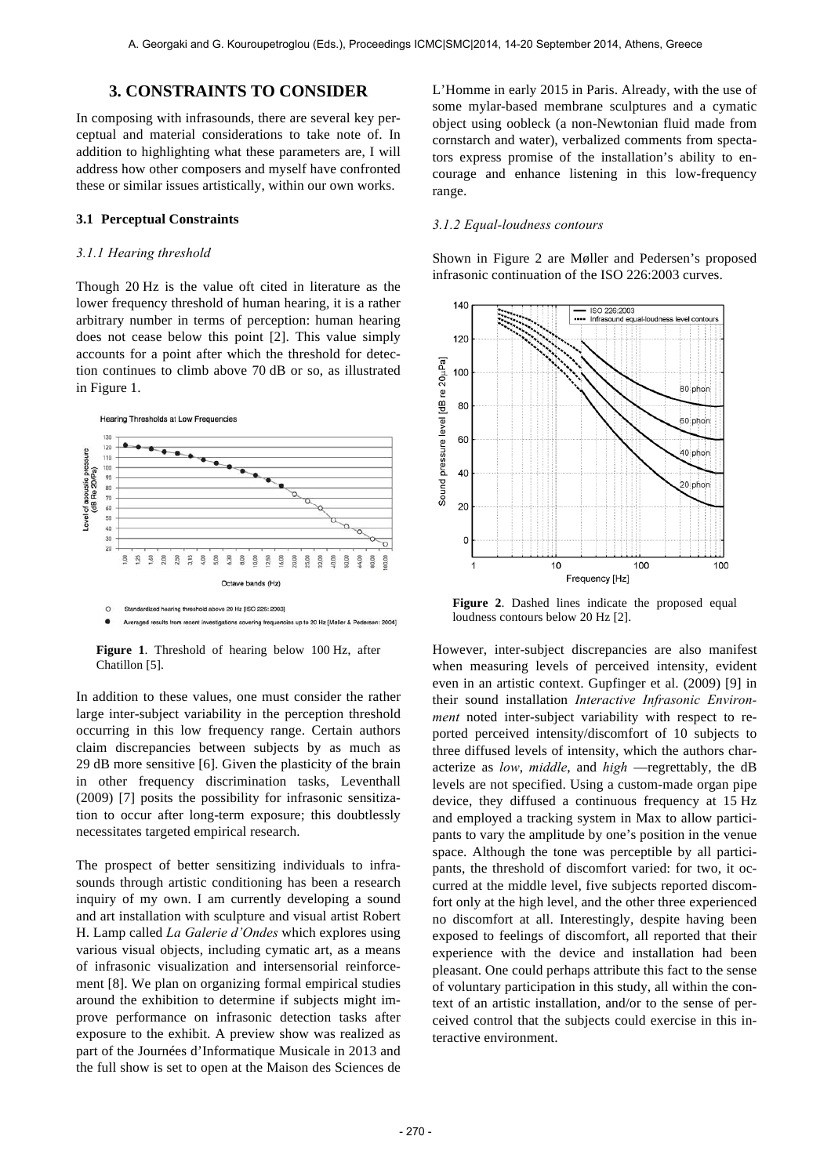# **3. CONSTRAINTS TO CONSIDER**

In composing with infrasounds, there are several key perceptual and material considerations to take note of. In addition to highlighting what these parameters are, I will address how other composers and myself have confronted these or similar issues artistically, within our own works.

#### **3.1 Perceptual Constraints**

#### *3.1.1 Hearing threshold*

Though 20 Hz is the value oft cited in literature as the lower frequency threshold of human hearing, it is a rather arbitrary number in terms of perception: human hearing does not cease below this point [2]. This value simply accounts for a point after which the threshold for detection continues to climb above 70 dB or so, as illustrated in Figure 1.



**Figure 1**. Threshold of hearing below 100 Hz, after Chatillon [5].

In addition to these values, one must consider the rather large inter-subject variability in the perception threshold occurring in this low frequency range. Certain authors claim discrepancies between subjects by as much as 29 dB more sensitive [6]. Given the plasticity of the brain in other frequency discrimination tasks, Leventhall (2009) [7] posits the possibility for infrasonic sensitization to occur after long-term exposure; this doubtlessly necessitates targeted empirical research.

The prospect of better sensitizing individuals to infrasounds through artistic conditioning has been a research inquiry of my own. I am currently developing a sound and art installation with sculpture and visual artist Robert H. Lamp called *La Galerie d'Ondes* which explores using various visual objects, including cymatic art, as a means of infrasonic visualization and intersensorial reinforcement [8]. We plan on organizing formal empirical studies around the exhibition to determine if subjects might improve performance on infrasonic detection tasks after exposure to the exhibit. A preview show was realized as part of the Journées d'Informatique Musicale in 2013 and the full show is set to open at the Maison des Sciences de L'Homme in early 2015 in Paris. Already, with the use of some mylar-based membrane sculptures and a cymatic object using oobleck (a non-Newtonian fluid made from cornstarch and water), verbalized comments from spectators express promise of the installation's ability to encourage and enhance listening in this low-frequency range.

#### *3.1.2 Equal-loudness contours*

Shown in Figure 2 are Møller and Pedersen's proposed infrasonic continuation of the ISO 226:2003 curves.



**Figure 2**. Dashed lines indicate the proposed equal loudness contours below 20 Hz [2].

However, inter-subject discrepancies are also manifest when measuring levels of perceived intensity, evident even in an artistic context. Gupfinger et al. (2009) [9] in their sound installation *Interactive Infrasonic Environment* noted inter-subject variability with respect to reported perceived intensity/discomfort of 10 subjects to three diffused levels of intensity, which the authors characterize as *low*, *middle*, and *high* —regrettably, the dB levels are not specified. Using a custom-made organ pipe device, they diffused a continuous frequency at 15 Hz and employed a tracking system in Max to allow participants to vary the amplitude by one's position in the venue space. Although the tone was perceptible by all participants, the threshold of discomfort varied: for two, it occurred at the middle level, five subjects reported discomfort only at the high level, and the other three experienced no discomfort at all. Interestingly, despite having been exposed to feelings of discomfort, all reported that their experience with the device and installation had been pleasant. One could perhaps attribute this fact to the sense of voluntary participation in this study, all within the context of an artistic installation, and/or to the sense of perceived control that the subjects could exercise in this interactive environment.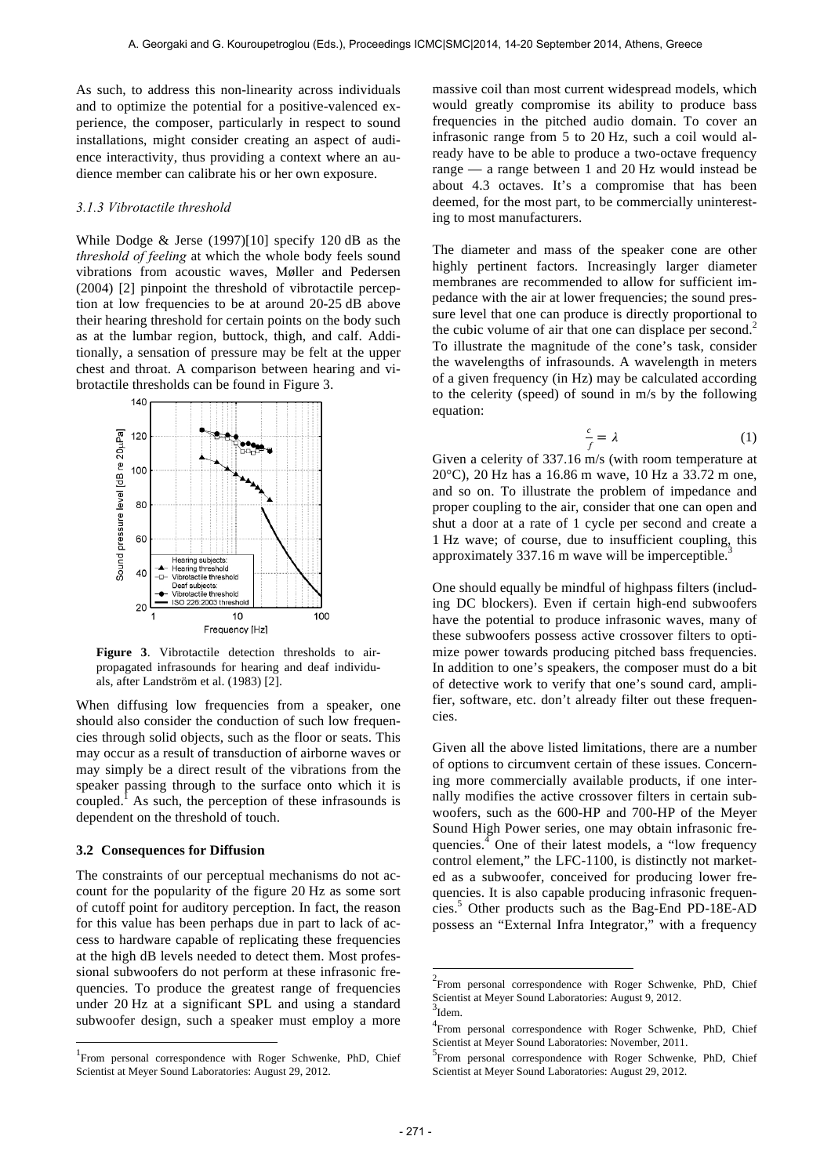As such, to address this non-linearity across individuals and to optimize the potential for a positive-valenced experience, the composer, particularly in respect to sound installations, might consider creating an aspect of audience interactivity, thus providing a context where an audience member can calibrate his or her own exposure.

#### *3.1.3 Vibrotactile threshold*

While Dodge  $&$  Jerse (1997)[10] specify 120 dB as the *threshold of feeling* at which the whole body feels sound vibrations from acoustic waves, Møller and Pedersen (2004) [2] pinpoint the threshold of vibrotactile perception at low frequencies to be at around 20-25 dB above their hearing threshold for certain points on the body such as at the lumbar region, buttock, thigh, and calf. Additionally, a sensation of pressure may be felt at the upper chest and throat. A comparison between hearing and vibrotactile thresholds can be found in Figure 3.



**Figure 3**. Vibrotactile detection thresholds to airpropagated infrasounds for hearing and deaf individuals, after Landström et al. (1983) [2].

When diffusing low frequencies from a speaker, one should also consider the conduction of such low frequencies through solid objects, such as the floor or seats. This may occur as a result of transduction of airborne waves or may simply be a direct result of the vibrations from the speaker passing through to the surface onto which it is coupled.<sup>1</sup> As such, the perception of these infrasounds is dependent on the threshold of touch.

### **3.2 Consequences for Diffusion**

 $\overline{a}$ 

The constraints of our perceptual mechanisms do not account for the popularity of the figure 20 Hz as some sort of cutoff point for auditory perception. In fact, the reason for this value has been perhaps due in part to lack of access to hardware capable of replicating these frequencies at the high dB levels needed to detect them. Most professional subwoofers do not perform at these infrasonic frequencies. To produce the greatest range of frequencies under 20 Hz at a significant SPL and using a standard subwoofer design, such a speaker must employ a more

massive coil than most current widespread models, which would greatly compromise its ability to produce bass frequencies in the pitched audio domain. To cover an infrasonic range from 5 to 20 Hz, such a coil would already have to be able to produce a two-octave frequency range — a range between 1 and 20 Hz would instead be about 4.3 octaves. It's a compromise that has been deemed, for the most part, to be commercially uninteresting to most manufacturers.

The diameter and mass of the speaker cone are other highly pertinent factors. Increasingly larger diameter membranes are recommended to allow for sufficient impedance with the air at lower frequencies; the sound pressure level that one can produce is directly proportional to the cubic volume of air that one can displace per second. 2 To illustrate the magnitude of the cone's task, consider the wavelengths of infrasounds. A wavelength in meters of a given frequency (in Hz) may be calculated according to the celerity (speed) of sound in m/s by the following equation:

$$
\frac{c}{f} = \lambda \tag{1}
$$

Given a celerity of 337.16 m/s (with room temperature at 20°C), 20 Hz has a 16.86 m wave, 10 Hz a 33.72 m one, and so on. To illustrate the problem of impedance and proper coupling to the air, consider that one can open and shut a door at a rate of 1 cycle per second and create a 1 Hz wave; of course, due to insufficient coupling, this approximately 337.16 m wave will be imperceptible.<sup>3</sup>

One should equally be mindful of highpass filters (including DC blockers). Even if certain high-end subwoofers have the potential to produce infrasonic waves, many of these subwoofers possess active crossover filters to optimize power towards producing pitched bass frequencies. In addition to one's speakers, the composer must do a bit of detective work to verify that one's sound card, amplifier, software, etc. don't already filter out these frequencies.

Given all the above listed limitations, there are a number of options to circumvent certain of these issues. Concerning more commercially available products, if one internally modifies the active crossover filters in certain subwoofers, such as the 600-HP and 700-HP of the Meyer Sound High Power series, one may obtain infrasonic frequencies.<sup>4</sup> One of their latest models, a "low frequency control element," the LFC-1100, is distinctly not marketed as a subwoofer, conceived for producing lower frequencies. It is also capable producing infrasonic frequencies.5 Other products such as the Bag-End PD-18E-AD possess an "External Infra Integrator," with a frequency

l

<sup>&</sup>lt;sup>1</sup> From personal correspondence with Roger Schwenke, PhD, Chief Scientist at Meyer Sound Laboratories: August 29, 2012.

<sup>&</sup>lt;sup>2</sup> From personal correspondence with Roger Schwenke, PhD, Chief Scientist at Meyer Sound Laboratories: August 9, 2012.  $3$ Idem.

<sup>4</sup> From personal correspondence with Roger Schwenke, PhD, Chief Scientist at Meyer Sound Laboratories: November, 2011.

<sup>&</sup>lt;sup>5</sup>From personal correspondence with Roger Schwenke, PhD, Chief Scientist at Meyer Sound Laboratories: August 29, 2012.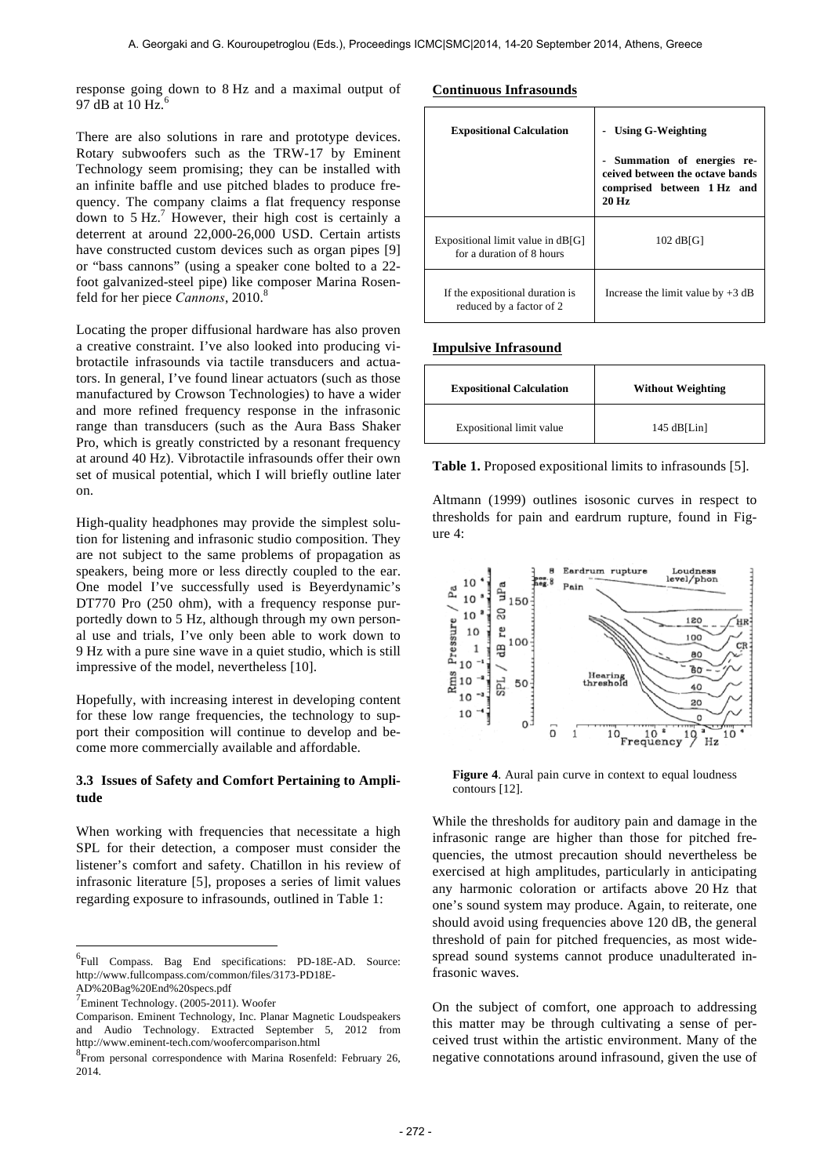response going down to 8 Hz and a maximal output of 97 dB at 10 Hz. $<sup>6</sup>$ </sup>

There are also solutions in rare and prototype devices. Rotary subwoofers such as the TRW-17 by Eminent Technology seem promising; they can be installed with an infinite baffle and use pitched blades to produce frequency. The company claims a flat frequency response down to  $5 Hz<sup>7</sup>$  However, their high cost is certainly a deterrent at around 22,000-26,000 USD. Certain artists have constructed custom devices such as organ pipes [9] or "bass cannons" (using a speaker cone bolted to a 22 foot galvanized-steel pipe) like composer Marina Rosenfeld for her piece *Cannons*, 2010. 8

Locating the proper diffusional hardware has also proven a creative constraint. I've also looked into producing vibrotactile infrasounds via tactile transducers and actuators. In general, I've found linear actuators (such as those manufactured by Crowson Technologies) to have a wider and more refined frequency response in the infrasonic range than transducers (such as the Aura Bass Shaker Pro, which is greatly constricted by a resonant frequency at around 40 Hz). Vibrotactile infrasounds offer their own set of musical potential, which I will briefly outline later on.

High-quality headphones may provide the simplest solution for listening and infrasonic studio composition. They are not subject to the same problems of propagation as speakers, being more or less directly coupled to the ear. One model I've successfully used is Beyerdynamic's DT770 Pro (250 ohm), with a frequency response purportedly down to 5 Hz, although through my own personal use and trials, I've only been able to work down to 9 Hz with a pure sine wave in a quiet studio, which is still impressive of the model, nevertheless [10].

Hopefully, with increasing interest in developing content for these low range frequencies, the technology to support their composition will continue to develop and become more commercially available and affordable.

# **3.3 Issues of Safety and Comfort Pertaining to Amplitude**

When working with frequencies that necessitate a high SPL for their detection, a composer must consider the listener's comfort and safety. Chatillon in his review of infrasonic literature [5], proposes a series of limit values regarding exposure to infrasounds, outlined in Table 1:

 $\overline{a}$ 

### **Continuous Infrasounds**

| <b>Expositional Calculation</b>                                | <b>Using G-Weighting</b><br>- Summation of energies re-<br>ceived between the octave bands<br>comprised between 1 Hz and<br>$20$ Hz |
|----------------------------------------------------------------|-------------------------------------------------------------------------------------------------------------------------------------|
| Expositional limit value in dB[G]<br>for a duration of 8 hours | $102$ dB[G]                                                                                                                         |
| If the expositional duration is<br>reduced by a factor of 2    | Increase the limit value by $+3$ dB                                                                                                 |

## **Impulsive Infrasound**

| <b>Expositional Calculation</b> | <b>Without Weighting</b> |
|---------------------------------|--------------------------|
| Expositional limit value        | $145$ dB[Lin]            |

**Table 1.** Proposed expositional limits to infrasounds [5].

Altmann (1999) outlines isosonic curves in respect to thresholds for pain and eardrum rupture, found in Figure 4:



**Figure 4**. Aural pain curve in context to equal loudness contours [12].

While the thresholds for auditory pain and damage in the infrasonic range are higher than those for pitched frequencies, the utmost precaution should nevertheless be exercised at high amplitudes, particularly in anticipating any harmonic coloration or artifacts above 20 Hz that one's sound system may produce. Again, to reiterate, one should avoid using frequencies above 120 dB, the general threshold of pain for pitched frequencies, as most widespread sound systems cannot produce unadulterated infrasonic waves.

On the subject of comfort, one approach to addressing this matter may be through cultivating a sense of perceived trust within the artistic environment. Many of the negative connotations around infrasound, given the use of

<sup>&</sup>lt;sup>6</sup>Full Compass. Bag End specifications: PD-18E-AD. Source: http://www.fullcompass.com/common/files/3173-PD18E-AD%20Bag%20End%20specs.pdf

<sup>7</sup> Eminent Technology. (2005-2011). Woofer

Comparison. Eminent Technology, Inc. Planar Magnetic Loudspeakers and Audio Technology. Extracted September 5, 2012 from http://www.eminent-tech.com/woofercomparison.html <sup>8</sup>

<sup>&</sup>lt;sup>8</sup> From personal correspondence with Marina Rosenfeld: February 26, 2014.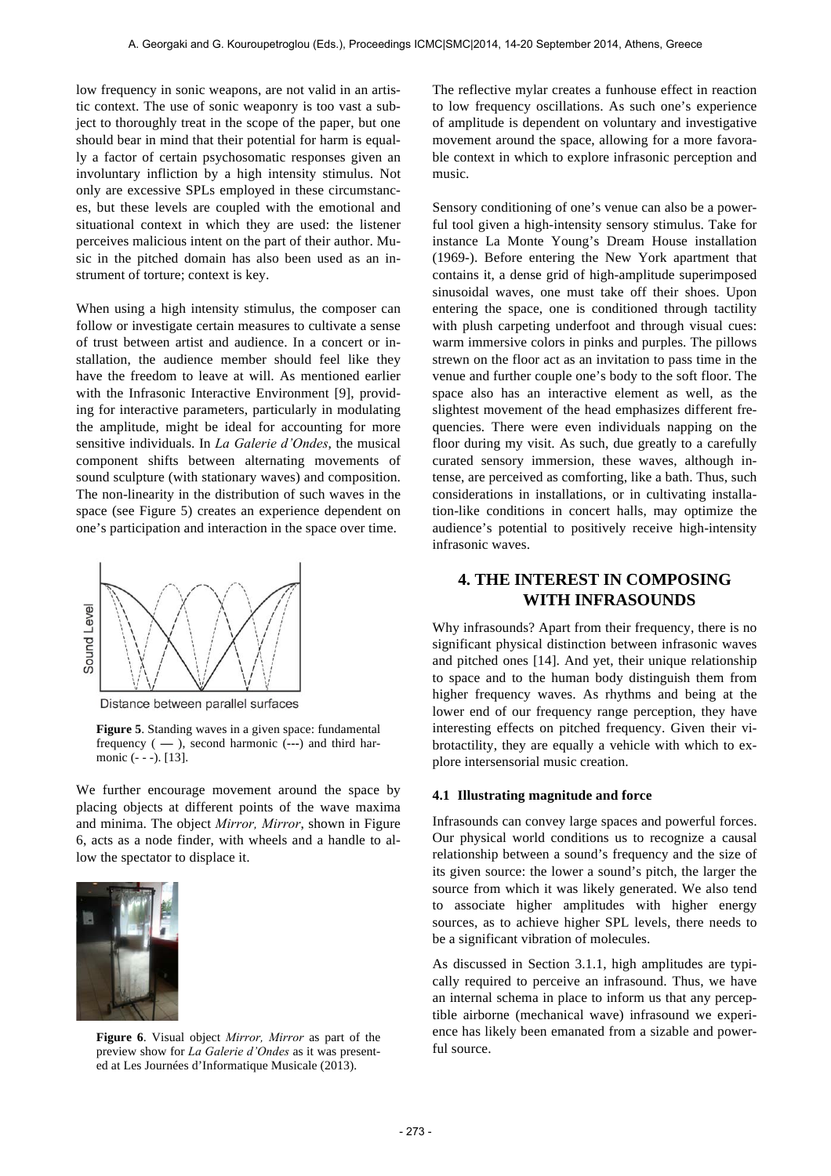low frequency in sonic weapons, are not valid in an artistic context. The use of sonic weaponry is too vast a subject to thoroughly treat in the scope of the paper, but one should bear in mind that their potential for harm is equally a factor of certain psychosomatic responses given an involuntary infliction by a high intensity stimulus. Not only are excessive SPLs employed in these circumstances, but these levels are coupled with the emotional and situational context in which they are used: the listener perceives malicious intent on the part of their author. Music in the pitched domain has also been used as an instrument of torture; context is key.

When using a high intensity stimulus, the composer can follow or investigate certain measures to cultivate a sense of trust between artist and audience. In a concert or installation, the audience member should feel like they have the freedom to leave at will. As mentioned earlier with the Infrasonic Interactive Environment [9], providing for interactive parameters, particularly in modulating the amplitude, might be ideal for accounting for more sensitive individuals. In *La Galerie d'Ondes*, the musical component shifts between alternating movements of sound sculpture (with stationary waves) and composition. The non-linearity in the distribution of such waves in the space (see Figure 5) creates an experience dependent on one's participation and interaction in the space over time.



Distance between parallel surfaces

**Figure 5**. Standing waves in a given space: fundamental frequency ( **—** ), second harmonic (**---**) and third harmonic (- - -). [13].

We further encourage movement around the space by placing objects at different points of the wave maxima and minima. The object *Mirror, Mirror*, shown in Figure 6, acts as a node finder, with wheels and a handle to allow the spectator to displace it.



**Figure 6**. Visual object *Mirror, Mirror* as part of the preview show for *La Galerie d'Ondes* as it was presented at Les Journées d'Informatique Musicale (2013).

The reflective mylar creates a funhouse effect in reaction to low frequency oscillations. As such one's experience of amplitude is dependent on voluntary and investigative movement around the space, allowing for a more favorable context in which to explore infrasonic perception and music.

Sensory conditioning of one's venue can also be a powerful tool given a high-intensity sensory stimulus. Take for instance La Monte Young's Dream House installation (1969-). Before entering the New York apartment that contains it, a dense grid of high-amplitude superimposed sinusoidal waves, one must take off their shoes. Upon entering the space, one is conditioned through tactility with plush carpeting underfoot and through visual cues: warm immersive colors in pinks and purples. The pillows strewn on the floor act as an invitation to pass time in the venue and further couple one's body to the soft floor. The space also has an interactive element as well, as the slightest movement of the head emphasizes different frequencies. There were even individuals napping on the floor during my visit. As such, due greatly to a carefully curated sensory immersion, these waves, although intense, are perceived as comforting, like a bath. Thus, such considerations in installations, or in cultivating installation-like conditions in concert halls, may optimize the audience's potential to positively receive high-intensity infrasonic waves.

# **4. THE INTEREST IN COMPOSING WITH INFRASOUNDS**

Why infrasounds? Apart from their frequency, there is no significant physical distinction between infrasonic waves and pitched ones [14]. And yet, their unique relationship to space and to the human body distinguish them from higher frequency waves. As rhythms and being at the lower end of our frequency range perception, they have interesting effects on pitched frequency. Given their vibrotactility, they are equally a vehicle with which to explore intersensorial music creation.

#### **4.1 Illustrating magnitude and force**

Infrasounds can convey large spaces and powerful forces. Our physical world conditions us to recognize a causal relationship between a sound's frequency and the size of its given source: the lower a sound's pitch, the larger the source from which it was likely generated. We also tend to associate higher amplitudes with higher energy sources, as to achieve higher SPL levels, there needs to be a significant vibration of molecules.

As discussed in Section 3.1.1, high amplitudes are typically required to perceive an infrasound. Thus, we have an internal schema in place to inform us that any perceptible airborne (mechanical wave) infrasound we experience has likely been emanated from a sizable and powerful source.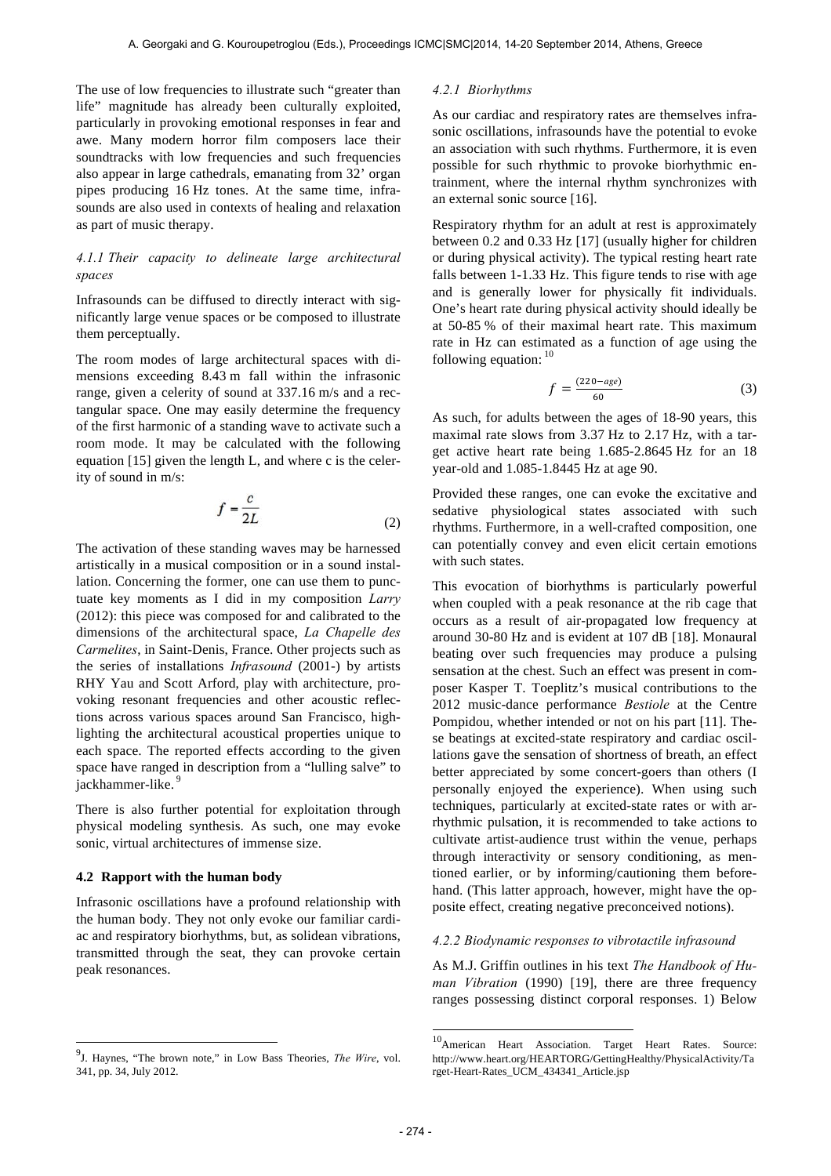The use of low frequencies to illustrate such "greater than life" magnitude has already been culturally exploited, particularly in provoking emotional responses in fear and awe. Many modern horror film composers lace their soundtracks with low frequencies and such frequencies also appear in large cathedrals, emanating from 32' organ pipes producing 16 Hz tones. At the same time, infrasounds are also used in contexts of healing and relaxation as part of music therapy.

# *4.1.1 Their capacity to delineate large architectural spaces*

Infrasounds can be diffused to directly interact with significantly large venue spaces or be composed to illustrate them perceptually.

The room modes of large architectural spaces with dimensions exceeding 8.43 m fall within the infrasonic range, given a celerity of sound at 337.16 m/s and a rectangular space. One may easily determine the frequency of the first harmonic of a standing wave to activate such a room mode. It may be calculated with the following equation [15] given the length L, and where c is the celerity of sound in m/s:

$$
f = \frac{c}{2L} \tag{2}
$$

The activation of these standing waves may be harnessed artistically in a musical composition or in a sound installation. Concerning the former, one can use them to punctuate key moments as I did in my composition *Larry* (2012): this piece was composed for and calibrated to the dimensions of the architectural space, *La Chapelle des Carmelites*, in Saint-Denis, France. Other projects such as the series of installations *Infrasound* (2001-) by artists RHY Yau and Scott Arford, play with architecture, provoking resonant frequencies and other acoustic reflections across various spaces around San Francisco, highlighting the architectural acoustical properties unique to each space. The reported effects according to the given space have ranged in description from a "lulling salve" to jackhammer-like.<sup>9</sup>

There is also further potential for exploitation through physical modeling synthesis. As such, one may evoke sonic, virtual architectures of immense size.

#### **4.2 Rapport with the human body**

 $\overline{a}$ 

Infrasonic oscillations have a profound relationship with the human body. They not only evoke our familiar cardiac and respiratory biorhythms, but, as solidean vibrations, transmitted through the seat, they can provoke certain peak resonances.

#### *4.2.1 Biorhythms*

As our cardiac and respiratory rates are themselves infrasonic oscillations, infrasounds have the potential to evoke an association with such rhythms. Furthermore, it is even possible for such rhythmic to provoke biorhythmic entrainment, where the internal rhythm synchronizes with an external sonic source [16].

Respiratory rhythm for an adult at rest is approximately between 0.2 and 0.33 Hz [17] (usually higher for children or during physical activity). The typical resting heart rate falls between 1-1.33 Hz. This figure tends to rise with age and is generally lower for physically fit individuals. One's heart rate during physical activity should ideally be at 50-85 % of their maximal heart rate. This maximum rate in Hz can estimated as a function of age using the following equation:  $10$ 

$$
f = \frac{(220 - age)}{60} \tag{3}
$$

As such, for adults between the ages of 18-90 years, this maximal rate slows from 3.37 Hz to 2.17 Hz, with a target active heart rate being 1.685-2.8645 Hz for an 18 year-old and 1.085-1.8445 Hz at age 90.

Provided these ranges, one can evoke the excitative and sedative physiological states associated with such rhythms. Furthermore, in a well-crafted composition, one can potentially convey and even elicit certain emotions with such states.

This evocation of biorhythms is particularly powerful when coupled with a peak resonance at the rib cage that occurs as a result of air-propagated low frequency at around 30-80 Hz and is evident at 107 dB [18]. Monaural beating over such frequencies may produce a pulsing sensation at the chest. Such an effect was present in composer Kasper T. Toeplitz's musical contributions to the 2012 music-dance performance *Bestiole* at the Centre Pompidou, whether intended or not on his part [11]. These beatings at excited-state respiratory and cardiac oscillations gave the sensation of shortness of breath, an effect better appreciated by some concert-goers than others (I personally enjoyed the experience). When using such techniques, particularly at excited-state rates or with arrhythmic pulsation, it is recommended to take actions to cultivate artist-audience trust within the venue, perhaps through interactivity or sensory conditioning, as mentioned earlier, or by informing/cautioning them beforehand. (This latter approach, however, might have the opposite effect, creating negative preconceived notions).

## *4.2.2 Biodynamic responses to vibrotactile infrasound*

As M.J. Griffin outlines in his text *The Handbook of Human Vibration* (1990) [19], there are three frequency ranges possessing distinct corporal responses. 1) Below

l

<sup>9</sup> J. Haynes, "The brown note," in Low Bass Theories, *The Wire*, vol. 341, pp. 34, July 2012.

<sup>&</sup>lt;sup>10</sup>American Heart Association. Target Heart Rates. Source: http://www.heart.org/HEARTORG/GettingHealthy/PhysicalActivity/Ta rget-Heart-Rates\_UCM\_434341\_Article.jsp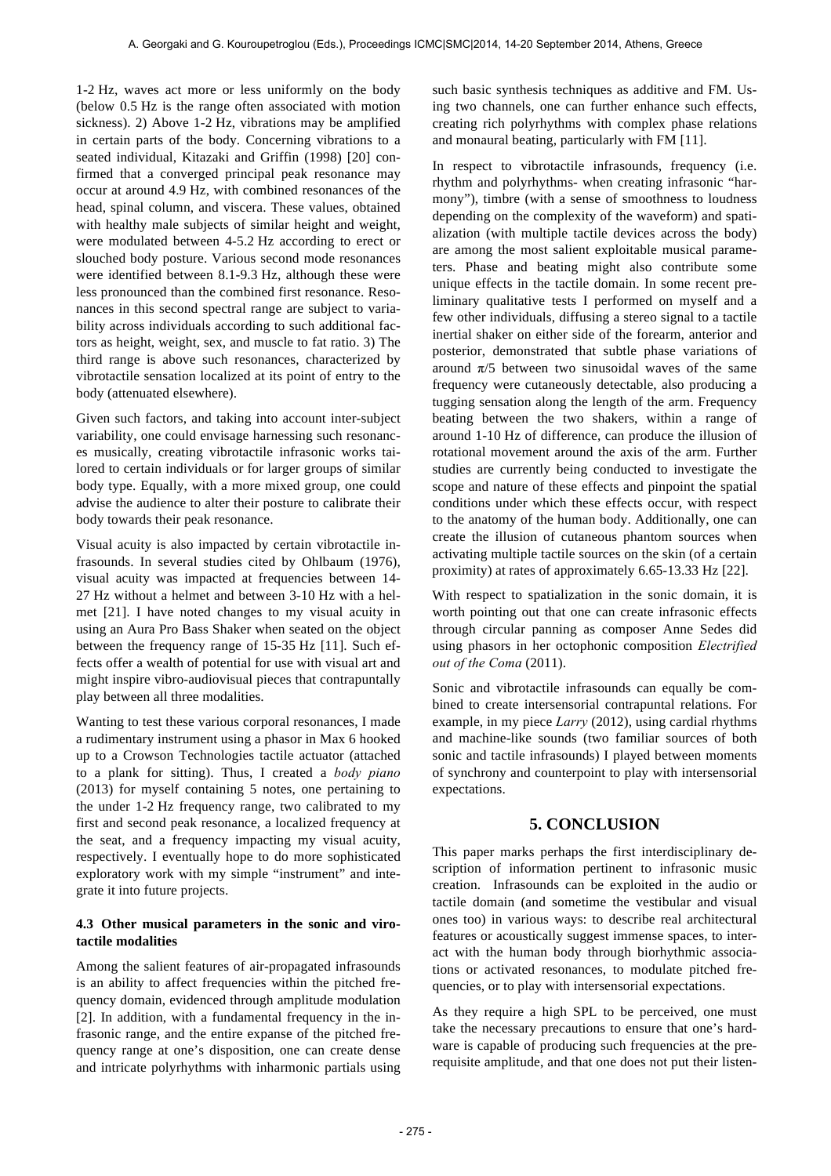1-2 Hz, waves act more or less uniformly on the body (below 0.5 Hz is the range often associated with motion sickness). 2) Above 1-2 Hz, vibrations may be amplified in certain parts of the body. Concerning vibrations to a seated individual, Kitazaki and Griffin (1998) [20] confirmed that a converged principal peak resonance may occur at around 4.9 Hz, with combined resonances of the head, spinal column, and viscera. These values, obtained with healthy male subjects of similar height and weight, were modulated between 4-5.2 Hz according to erect or slouched body posture. Various second mode resonances were identified between 8.1-9.3 Hz, although these were less pronounced than the combined first resonance. Resonances in this second spectral range are subject to variability across individuals according to such additional factors as height, weight, sex, and muscle to fat ratio. 3) The third range is above such resonances, characterized by vibrotactile sensation localized at its point of entry to the body (attenuated elsewhere).

Given such factors, and taking into account inter-subject variability, one could envisage harnessing such resonances musically, creating vibrotactile infrasonic works tailored to certain individuals or for larger groups of similar body type. Equally, with a more mixed group, one could advise the audience to alter their posture to calibrate their body towards their peak resonance.

Visual acuity is also impacted by certain vibrotactile infrasounds. In several studies cited by Ohlbaum (1976), visual acuity was impacted at frequencies between 14- 27 Hz without a helmet and between 3-10 Hz with a helmet [21]. I have noted changes to my visual acuity in using an Aura Pro Bass Shaker when seated on the object between the frequency range of 15-35 Hz [11]. Such effects offer a wealth of potential for use with visual art and might inspire vibro-audiovisual pieces that contrapuntally play between all three modalities.

Wanting to test these various corporal resonances, I made a rudimentary instrument using a phasor in Max 6 hooked up to a Crowson Technologies tactile actuator (attached to a plank for sitting). Thus, I created a *body piano* (2013) for myself containing 5 notes, one pertaining to the under 1-2 Hz frequency range, two calibrated to my first and second peak resonance, a localized frequency at the seat, and a frequency impacting my visual acuity, respectively. I eventually hope to do more sophisticated exploratory work with my simple "instrument" and integrate it into future projects.

# **4.3 Other musical parameters in the sonic and virotactile modalities**

Among the salient features of air-propagated infrasounds is an ability to affect frequencies within the pitched frequency domain, evidenced through amplitude modulation [2]. In addition, with a fundamental frequency in the infrasonic range, and the entire expanse of the pitched frequency range at one's disposition, one can create dense and intricate polyrhythms with inharmonic partials using such basic synthesis techniques as additive and FM. Using two channels, one can further enhance such effects, creating rich polyrhythms with complex phase relations and monaural beating, particularly with FM [11].

In respect to vibrotactile infrasounds, frequency (i.e. rhythm and polyrhythms- when creating infrasonic "harmony"), timbre (with a sense of smoothness to loudness depending on the complexity of the waveform) and spatialization (with multiple tactile devices across the body) are among the most salient exploitable musical parameters. Phase and beating might also contribute some unique effects in the tactile domain. In some recent preliminary qualitative tests I performed on myself and a few other individuals, diffusing a stereo signal to a tactile inertial shaker on either side of the forearm, anterior and posterior, demonstrated that subtle phase variations of around  $π/5$  between two sinusoidal waves of the same frequency were cutaneously detectable, also producing a tugging sensation along the length of the arm. Frequency beating between the two shakers, within a range of around 1-10 Hz of difference, can produce the illusion of rotational movement around the axis of the arm. Further studies are currently being conducted to investigate the scope and nature of these effects and pinpoint the spatial conditions under which these effects occur, with respect to the anatomy of the human body. Additionally, one can create the illusion of cutaneous phantom sources when activating multiple tactile sources on the skin (of a certain proximity) at rates of approximately 6.65-13.33 Hz [22].

With respect to spatialization in the sonic domain, it is worth pointing out that one can create infrasonic effects through circular panning as composer Anne Sedes did using phasors in her octophonic composition *Electrified out of the Coma* (2011).

Sonic and vibrotactile infrasounds can equally be combined to create intersensorial contrapuntal relations. For example, in my piece *Larry* (2012), using cardial rhythms and machine-like sounds (two familiar sources of both sonic and tactile infrasounds) I played between moments of synchrony and counterpoint to play with intersensorial expectations.

# **5. CONCLUSION**

This paper marks perhaps the first interdisciplinary description of information pertinent to infrasonic music creation. Infrasounds can be exploited in the audio or tactile domain (and sometime the vestibular and visual ones too) in various ways: to describe real architectural features or acoustically suggest immense spaces, to interact with the human body through biorhythmic associations or activated resonances, to modulate pitched frequencies, or to play with intersensorial expectations.

As they require a high SPL to be perceived, one must take the necessary precautions to ensure that one's hardware is capable of producing such frequencies at the prerequisite amplitude, and that one does not put their listen-